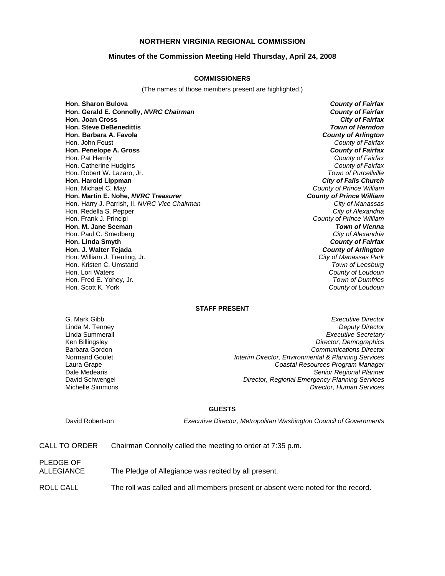# **NORTHERN VIRGINIA REGIONAL COMMISSION**

## **Minutes of the Commission Meeting Held Thursday, April 24, 2008**

#### **COMMISSIONERS**

(The names of those members present are highlighted.)

**Hon. Sharon Bulova** *County of Fairfax* **Hon. Gerald E. Connolly,** *NVRC Chairman County of Fairfax* **Hon. Joan Cross Hon. Steve DeBenedittis** *Town of Herndon* **Hon. Barbara A. Favola** *County of Arlington* Hon. John Foust *County of Fairfax* **Hon. Penelope A. Gross** *County of Fairfax* Hon. Pat Herrity *County of Fairfax* Hon. Catherine Hudgins *County of Fairfax* Hon. Robert W. Lazaro, Jr. **Hon. Harold Lippman** *City of Falls Church* **Hon. Martin E. Nohe,** *NVRC Treasurer County of Prince William* Hon. Harry J. Parrish, II, *NVRC Vice Chairman City of Manassas* Hon. Redella S. Pepper Hon. Frank J. Principi *County of Prince William* **Hon. M. Jane Seeman** *Town of Vienna* Hon. Paul C. Smedberg *City of Alexandria* **Hon. Linda Smyth** *County of Fairfax* **Hon. J. Walter Tejada** *County of Arlington* Hon. William J. Treuting, Jr. *City of Manassas Park* Hon. Kristen C. Umstattd *Town of Leesburg* Hon. Fred E. Yohey, Jr.<br>Hon. Scott K. York

**County of Prince William County of Loudoun**<br>*Town of Dumfries* **County of Loudoun** 

# **STAFF PRESENT**

G. Mark Gibb *Executive Director* **Deputy Director** Linda Summerall *Executive Secretary* Ken Billingsley *Director, Demographics* Barbara Gordon *Communications Director* Normand Goulet *Interim Director, Environmental & Planning Services* Laura Grape *Coastal Resources Program Manager* Dale Medearis *Senior Regional Planner* **Director, Regional Emergency Planning Services** Michelle Simmons *Director, Human Services*

#### **GUESTS**

PLEDGE OF

David Robertson *Executive Director, Metropolitan Washington Council of Governments*

| CALL TO ORDER |  | Chairman Connolly called the meeting to order at 7:35 p.m. |  |
|---------------|--|------------------------------------------------------------|--|
|---------------|--|------------------------------------------------------------|--|

| FLEDGE OF  |                                                      |
|------------|------------------------------------------------------|
| ALLEGIANCE | The Pledge of Allegiance was recited by all present. |

ROLL CALL The roll was called and all members present or absent were noted for the record.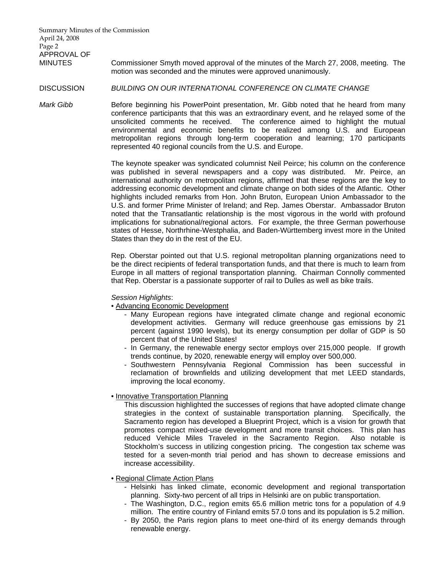MINUTES Commissioner Smyth moved approval of the minutes of the March 27, 2008, meeting. The motion was seconded and the minutes were approved unanimously.

## DISCUSSION *BUILDING ON OUR INTERNATIONAL CONFERENCE ON CLIMATE CHANGE*

*Mark Gibb* **Before beginning his PowerPoint presentation, Mr. Gibb noted that he heard from many** conference participants that this was an extraordinary event, and he relayed some of the unsolicited comments he received. The conference aimed to highlight the mutual environmental and economic benefits to be realized among U.S. and European metropolitan regions through long-term cooperation and learning; 170 participants represented 40 regional councils from the U.S. and Europe.

> The keynote speaker was syndicated columnist Neil Peirce; his column on the conference was published in several newspapers and a copy was distributed. Mr. Peirce, an international authority on metropolitan regions, affirmed that these regions are the key to addressing economic development and climate change on both sides of the Atlantic. Other highlights included remarks from Hon. John Bruton, European Union Ambassador to the U.S. and former Prime Minister of Ireland; and Rep. James Oberstar. Ambassador Bruton noted that the Transatlantic relationship is the most vigorous in the world with profound implications for subnational/regional actors. For example, the three German powerhouse states of Hesse, Northrhine-Westphalia, and Baden-Württemberg invest more in the United States than they do in the rest of the EU.

> Rep. Oberstar pointed out that U.S. regional metropolitan planning organizations need to be the direct recipients of federal transportation funds, and that there is much to learn from Europe in all matters of regional transportation planning. Chairman Connolly commented that Rep. Oberstar is a passionate supporter of rail to Dulles as well as bike trails.

# *Session Highlights*:

• Advancing Economic Development

- Many European regions have integrated climate change and regional economic development activities. Germany will reduce greenhouse gas emissions by 21 percent (against 1990 levels), but its energy consumption per dollar of GDP is 50 percent that of the United States!
- In Germany, the renewable energy sector employs over 215,000 people. If growth trends continue, by 2020, renewable energy will employ over 500,000.
- Southwestern Pennsylvania Regional Commission has been successful in reclamation of brownfields and utilizing development that met LEED standards, improving the local economy.

# • Innovative Transportation Planning

This discussion highlighted the successes of regions that have adopted climate change strategies in the context of sustainable transportation planning. Specifically, the Sacramento region has developed a Blueprint Project, which is a vision for growth that promotes compact mixed-use development and more transit choices. This plan has reduced Vehicle Miles Traveled in the Sacramento Region. Also notable is Stockholm's success in utilizing congestion pricing. The congestion tax scheme was tested for a seven-month trial period and has shown to decrease emissions and increase accessibility.

#### • Regional Climate Action Plans

- Helsinki has linked climate, economic development and regional transportation planning. Sixty-two percent of all trips in Helsinki are on public transportation.
- The Washington, D.C., region emits 65.6 million metric tons for a population of 4.9 million. The entire country of Finland emits 57.0 tons and its population is 5.2 million.
- By 2050, the Paris region plans to meet one-third of its energy demands through renewable energy.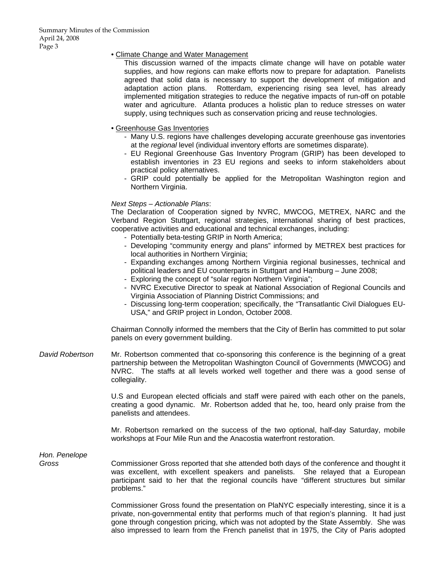# • Climate Change and Water Management

This discussion warned of the impacts climate change will have on potable water supplies, and how regions can make efforts now to prepare for adaptation. Panelists agreed that solid data is necessary to support the development of mitigation and adaptation action plans. Rotterdam, experiencing rising sea level, has already implemented mitigation strategies to reduce the negative impacts of run-off on potable water and agriculture. Atlanta produces a holistic plan to reduce stresses on water supply, using techniques such as conservation pricing and reuse technologies.

## • Greenhouse Gas Inventories

- Many U.S. regions have challenges developing accurate greenhouse gas inventories at the *regional* level (individual inventory efforts are sometimes disparate).
- EU Regional Greenhouse Gas Inventory Program (GRIP) has been developed to establish inventories in 23 EU regions and seeks to inform stakeholders about practical policy alternatives.
- GRIP could potentially be applied for the Metropolitan Washington region and Northern Virginia.

#### *Next Steps – Actionable Plans*:

The Declaration of Cooperation signed by NVRC, MWCOG, METREX, NARC and the Verband Region Stuttgart, regional strategies, international sharing of best practices, cooperative activities and educational and technical exchanges, including:

- Potentially beta-testing GRIP in North America;
- Developing "community energy and plans" informed by METREX best practices for local authorities in Northern Virginia;
- Expanding exchanges among Northern Virginia regional businesses, technical and political leaders and EU counterparts in Stuttgart and Hamburg – June 2008;
- Exploring the concept of "solar region Northern Virginia";
- NVRC Executive Director to speak at National Association of Regional Councils and Virginia Association of Planning District Commissions; and
- Discussing long-term cooperation; specifically, the "Transatlantic Civil Dialogues EU-USA," and GRIP project in London, October 2008.

Chairman Connolly informed the members that the City of Berlin has committed to put solar panels on every government building.

*David Robertson* Mr. Robertson commented that co-sponsoring this conference is the beginning of a great partnership between the Metropolitan Washington Council of Governments (MWCOG) and NVRC. The staffs at all levels worked well together and there was a good sense of collegiality.

> U.S and European elected officials and staff were paired with each other on the panels, creating a good dynamic. Mr. Robertson added that he, too, heard only praise from the panelists and attendees.

> Mr. Robertson remarked on the success of the two optional, half-day Saturday, mobile workshops at Four Mile Run and the Anacostia waterfront restoration.

*Hon. Penelope* 

*Gross* Commissioner Gross reported that she attended both days of the conference and thought it was excellent, with excellent speakers and panelists. She relayed that a European participant said to her that the regional councils have "different structures but similar problems."

> Commissioner Gross found the presentation on PlaNYC especially interesting, since it is a private, non-governmental entity that performs much of that region's planning. It had just gone through congestion pricing, which was not adopted by the State Assembly. She was also impressed to learn from the French panelist that in 1975, the City of Paris adopted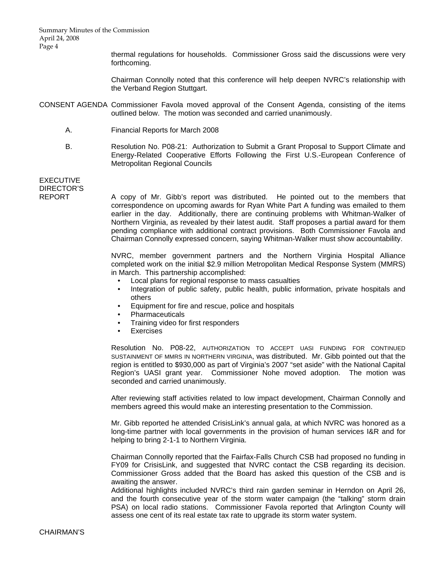Summary Minutes of the Commission April 24, 2008 Page 4

> thermal regulations for households. Commissioner Gross said the discussions were very forthcoming.

> Chairman Connolly noted that this conference will help deepen NVRC's relationship with the Verband Region Stuttgart.

- CONSENT AGENDA Commissioner Favola moved approval of the Consent Agenda, consisting of the items outlined below. The motion was seconded and carried unanimously.
	- A. Financial Reports for March 2008
	- B. Resolution No. P08-21: Authorization to Submit a Grant Proposal to Support Climate and Energy-Related Cooperative Efforts Following the First U.S.-European Conference of Metropolitan Regional Councils

# EXECUTIVE DIRECTOR'S

REPORT A copy of Mr. Gibb's report was distributed. He pointed out to the members that correspondence on upcoming awards for Ryan White Part A funding was emailed to them earlier in the day. Additionally, there are continuing problems with Whitman-Walker of Northern Virginia, as revealed by their latest audit. Staff proposes a partial award for them pending compliance with additional contract provisions. Both Commissioner Favola and Chairman Connolly expressed concern, saying Whitman-Walker must show accountability.

> NVRC, member government partners and the Northern Virginia Hospital Alliance completed work on the initial \$2.9 million Metropolitan Medical Response System (MMRS) in March. This partnership accomplished:

- Local plans for regional response to mass casualties
- Integration of public safety, public health, public information, private hospitals and others
- Equipment for fire and rescue, police and hospitals
- Pharmaceuticals
- Training video for first responders
- Exercises

Resolution No. P08-22, AUTHORIZATION TO ACCEPT UASI FUNDING FOR CONTINUED SUSTAINMENT OF MMRS IN NORTHERN VIRGINIA, was distributed. Mr. Gibb pointed out that the region is entitled to \$930,000 as part of Virginia's 2007 "set aside" with the National Capital Region's UASI grant year. Commissioner Nohe moved adoption. The motion was seconded and carried unanimously.

After reviewing staff activities related to low impact development, Chairman Connolly and members agreed this would make an interesting presentation to the Commission.

Mr. Gibb reported he attended CrisisLink's annual gala, at which NVRC was honored as a long-time partner with local governments in the provision of human services I&R and for helping to bring 2-1-1 to Northern Virginia.

Chairman Connolly reported that the Fairfax-Falls Church CSB had proposed no funding in FY09 for CrisisLink, and suggested that NVRC contact the CSB regarding its decision. Commissioner Gross added that the Board has asked this question of the CSB and is awaiting the answer.

Additional highlights included NVRC's third rain garden seminar in Herndon on April 26, and the fourth consecutive year of the storm water campaign (the "talking" storm drain PSA) on local radio stations. Commissioner Favola reported that Arlington County will assess one cent of its real estate tax rate to upgrade its storm water system.